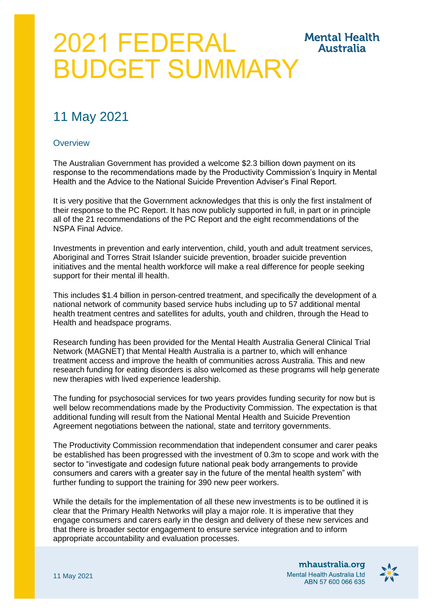# 2021 FEDERAL **Mental Health Australia** BUDGET SUMMARY

# 11 May 2021

# **Overview**

The Australian Government has provided a welcome \$2.3 billion down payment on its response to the recommendations made by the Productivity Commission's Inquiry in Mental Health and the Advice to the National Suicide Prevention Adviser's Final Report.

It is very positive that the Government acknowledges that this is only the first instalment of their response to the PC Report. It has now publicly supported in full, in part or in principle all of the 21 recommendations of the PC Report and the eight recommendations of the NSPA Final Advice.

Investments in prevention and early intervention, child, youth and adult treatment services, Aboriginal and Torres Strait Islander suicide prevention, broader suicide prevention initiatives and the mental health workforce will make a real difference for people seeking support for their mental ill health.

This includes \$1.4 billion in person-centred treatment, and specifically the development of a national network of community based service hubs including up to 57 additional mental health treatment centres and satellites for adults, youth and children, through the Head to Health and headspace programs.

Research funding has been provided for the Mental Health Australia General Clinical Trial Network (MAGNET) that Mental Health Australia is a partner to, which will enhance treatment access and improve the health of communities across Australia. This and new research funding for eating disorders is also welcomed as these programs will help generate new therapies with lived experience leadership.

The funding for psychosocial services for two years provides funding security for now but is well below recommendations made by the Productivity Commission. The expectation is that additional funding will result from the National Mental Health and Suicide Prevention Agreement negotiations between the national, state and territory governments.

The Productivity Commission recommendation that independent consumer and carer peaks be established has been progressed with the investment of 0.3m to scope and work with the sector to "investigate and codesign future national peak body arrangements to provide consumers and carers with a greater say in the future of the mental health system" with further funding to support the training for 390 new peer workers.

While the details for the implementation of all these new investments is to be outlined it is clear that the Primary Health Networks will play a major role. It is imperative that they engage consumers and carers early in the design and delivery of these new services and that there is broader sector engagement to ensure service integration and to inform appropriate accountability and evaluation processes.

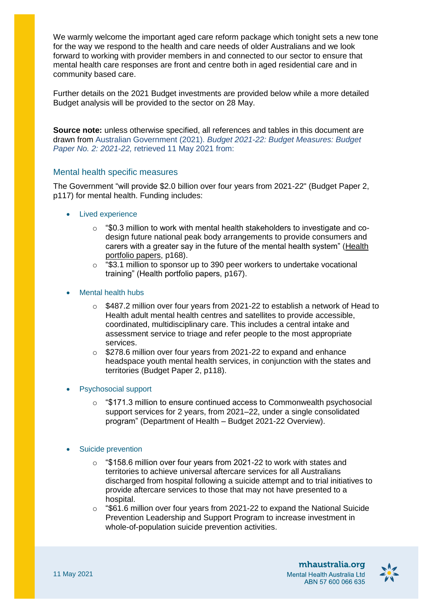We warmly welcome the important aged care reform package which tonight sets a new tone for the way we respond to the health and care needs of older Australians and we look forward to working with provider members in and connected to our sector to ensure that mental health care responses are front and centre both in aged residential care and in community based care.

Further details on the 2021 Budget investments are provided below while a more detailed Budget analysis will be provided to the sector on 28 May.

**Source note:** unless otherwise specified, all references and tables in this document are drawn from Australian Government (2021). *Budget 2021-22: Budget Measures: Budget Paper No. 2: 2021-22,* retrieved 11 May 2021 from:

# Mental health specific measures

The Government "will provide \$2.0 billion over four years from 2021-22" (Budget Paper 2, p117) for mental health. Funding includes:

- Lived experience
	- $\circ$  "\$0.3 million to work with mental health stakeholders to investigate and codesign future national peak body arrangements to provide consumers and carers with a greater say in the future of the mental health system" [\(Health](https://www.health.gov.au/sites/default/files/documents/2021/05/budget-2021-22-stakeholder-pack.pdf)  [portfolio papers,](https://www.health.gov.au/sites/default/files/documents/2021/05/budget-2021-22-stakeholder-pack.pdf) p168).
	- o "\$3.1 million to sponsor up to 390 peer workers to undertake vocational training" (Health portfolio papers, p167).
- Mental health hubs
	- $\circ$  \$487.2 million over four years from 2021-22 to establish a network of Head to Health adult mental health centres and satellites to provide accessible, coordinated, multidisciplinary care. This includes a central intake and assessment service to triage and refer people to the most appropriate services.
	- o \$278.6 million over four years from 2021-22 to expand and enhance headspace youth mental health services, in conjunction with the states and territories (Budget Paper 2, p118).

#### Psychosocial support

 $\circ$  "\$171.3 million to ensure continued access to Commonwealth psychosocial support services for 2 years, from 2021–22, under a single consolidated program" (Department of Health – Budget 2021-22 Overview).

#### Suicide prevention

- o "\$158.6 million over four years from 2021-22 to work with states and territories to achieve universal aftercare services for all Australians discharged from hospital following a suicide attempt and to trial initiatives to provide aftercare services to those that may not have presented to a hospital.
- $\degree$  "\$61.6 million over four years from 2021-22 to expand the National Suicide Prevention Leadership and Support Program to increase investment in whole-of-population suicide prevention activities.

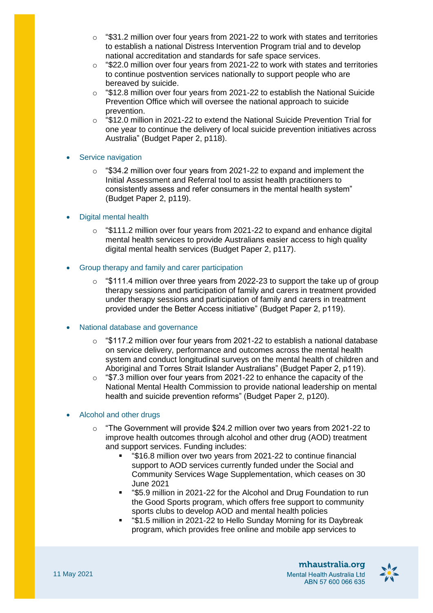- $\degree$  "\$31.2 million over four vears from 2021-22 to work with states and territories to establish a national Distress Intervention Program trial and to develop national accreditation and standards for safe space services.
- $\degree$  "\$22.0 million over four years from 2021-22 to work with states and territories to continue postvention services nationally to support people who are bereaved by suicide.
- o "\$12.8 million over four years from 2021-22 to establish the National Suicide Prevention Office which will oversee the national approach to suicide prevention.
- $\circ$  "\$12.0 million in 2021-22 to extend the National Suicide Prevention Trial for one year to continue the delivery of local suicide prevention initiatives across Australia" (Budget Paper 2, p118).

# Service navigation

o "\$34.2 million over four years from 2021-22 to expand and implement the Initial Assessment and Referral tool to assist health practitioners to consistently assess and refer consumers in the mental health system" (Budget Paper 2, p119).

# Digital mental health

- $\degree$  "\$111.2 million over four years from 2021-22 to expand and enhance digital mental health services to provide Australians easier access to high quality digital mental health services (Budget Paper 2, p117).
- Group therapy and family and carer participation
	- o "\$111.4 million over three years from 2022-23 to support the take up of group therapy sessions and participation of family and carers in treatment provided under therapy sessions and participation of family and carers in treatment provided under the Better Access initiative" (Budget Paper 2, p119).

# National database and governance

- $\degree$  "\$117.2 million over four years from 2021-22 to establish a national database on service delivery, performance and outcomes across the mental health system and conduct longitudinal surveys on the mental health of children and Aboriginal and Torres Strait Islander Australians" (Budget Paper 2, p119).
- $\degree$  "\$7.3 million over four years from 2021-22 to enhance the capacity of the National Mental Health Commission to provide national leadership on mental health and suicide prevention reforms" (Budget Paper 2, p120).

#### Alcohol and other drugs

- "The Government will provide \$24.2 million over two years from 2021-22 to improve health outcomes through alcohol and other drug (AOD) treatment and support services. Funding includes:
	- "\$16.8 million over two years from 2021-22 to continue financial support to AOD services currently funded under the Social and Community Services Wage Supplementation, which ceases on 30 June 2021
	- "\$5.9 million in 2021-22 for the Alcohol and Drug Foundation to run the Good Sports program, which offers free support to community sports clubs to develop AOD and mental health policies
	- "\$1.5 million in 2021-22 to Hello Sunday Morning for its Daybreak program, which provides free online and mobile app services to

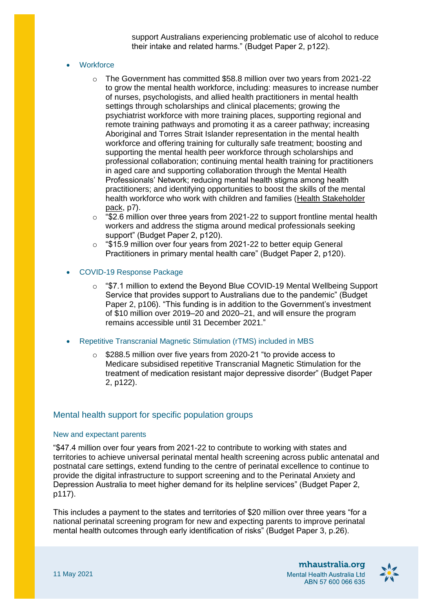support Australians experiencing problematic use of alcohol to reduce their intake and related harms." (Budget Paper 2, p122).

#### **Workforce**

- $\circ$  The Government has committed \$58.8 million over two years from 2021-22 to grow the mental health workforce, including: measures to increase number of nurses, psychologists, and allied health practitioners in mental health settings through scholarships and clinical placements; growing the psychiatrist workforce with more training places, supporting regional and remote training pathways and promoting it as a career pathway; increasing Aboriginal and Torres Strait Islander representation in the mental health workforce and offering training for culturally safe treatment; boosting and supporting the mental health peer workforce through scholarships and professional collaboration; continuing mental health training for practitioners in aged care and supporting collaboration through the Mental Health Professionals' Network; reducing mental health stigma among health practitioners; and identifying opportunities to boost the skills of the mental health workforce who work with children and families [\(Health Stakeholder](https://www.health.gov.au/sites/default/files/documents/2021/05/budget-2021-22-stakeholder-pack.pdf)  [pack,](https://www.health.gov.au/sites/default/files/documents/2021/05/budget-2021-22-stakeholder-pack.pdf) p7).
- $\degree$  "\$2.6 million over three years from 2021-22 to support frontline mental health workers and address the stigma around medical professionals seeking support" (Budget Paper 2, p120).
- o "\$15.9 million over four years from 2021-22 to better equip General Practitioners in primary mental health care" (Budget Paper 2, p120).
- COVID-19 Response Package
	- o "\$7.1 million to extend the Beyond Blue COVID-19 Mental Wellbeing Support Service that provides support to Australians due to the pandemic" (Budget Paper 2, p106). "This funding is in addition to the Government's investment of \$10 million over 2019–20 and 2020–21, and will ensure the program remains accessible until 31 December 2021."
- Repetitive Transcranial Magnetic Stimulation (rTMS) included in MBS
	- o \$288.5 million over five years from 2020-21 "to provide access to Medicare subsidised repetitive Transcranial Magnetic Stimulation for the treatment of medication resistant major depressive disorder" (Budget Paper 2, p122).

#### Mental health support for specific population groups

#### New and expectant parents

"\$47.4 million over four years from 2021-22 to contribute to working with states and territories to achieve universal perinatal mental health screening across public antenatal and postnatal care settings, extend funding to the centre of perinatal excellence to continue to provide the digital infrastructure to support screening and to the Perinatal Anxiety and Depression Australia to meet higher demand for its helpline services" (Budget Paper 2, p117).

This includes a payment to the states and territories of \$20 million over three years "for a national perinatal screening program for new and expecting parents to improve perinatal mental health outcomes through early identification of risks" (Budget Paper 3, p.26).

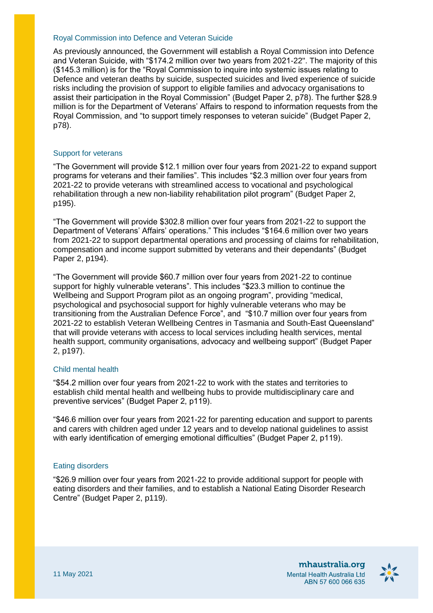#### Royal Commission into Defence and Veteran Suicide

As previously announced, the Government will establish a Royal Commission into Defence and Veteran Suicide, with "\$174.2 million over two years from 2021-22". The majority of this (\$145.3 million) is for the "Royal Commission to inquire into systemic issues relating to Defence and veteran deaths by suicide, suspected suicides and lived experience of suicide risks including the provision of support to eligible families and advocacy organisations to assist their participation in the Royal Commission" (Budget Paper 2, p78). The further \$28.9 million is for the Department of Veterans' Affairs to respond to information requests from the Royal Commission, and "to support timely responses to veteran suicide" (Budget Paper 2, p78).

#### Support for veterans

"The Government will provide \$12.1 million over four years from 2021-22 to expand support programs for veterans and their families". This includes "\$2.3 million over four years from 2021-22 to provide veterans with streamlined access to vocational and psychological rehabilitation through a new non-liability rehabilitation pilot program" (Budget Paper 2, p195).

"The Government will provide \$302.8 million over four years from 2021-22 to support the Department of Veterans' Affairs' operations." This includes "\$164.6 million over two years from 2021-22 to support departmental operations and processing of claims for rehabilitation, compensation and income support submitted by veterans and their dependants" (Budget Paper 2, p194).

"The Government will provide \$60.7 million over four years from 2021-22 to continue support for highly vulnerable veterans". This includes "\$23.3 million to continue the Wellbeing and Support Program pilot as an ongoing program", providing "medical, psychological and psychosocial support for highly vulnerable veterans who may be transitioning from the Australian Defence Force", and "\$10.7 million over four years from 2021-22 to establish Veteran Wellbeing Centres in Tasmania and South-East Queensland" that will provide veterans with access to local services including health services, mental health support, community organisations, advocacy and wellbeing support" (Budget Paper 2, p197).

#### Child mental health

"\$54.2 million over four years from 2021-22 to work with the states and territories to establish child mental health and wellbeing hubs to provide multidisciplinary care and preventive services" (Budget Paper 2, p119).

"\$46.6 million over four years from 2021-22 for parenting education and support to parents and carers with children aged under 12 years and to develop national guidelines to assist with early identification of emerging emotional difficulties" (Budget Paper 2, p119).

#### Eating disorders

"\$26.9 million over four years from 2021-22 to provide additional support for people with eating disorders and their families, and to establish a National Eating Disorder Research Centre" (Budget Paper 2, p119).

> mhaustralia.org Mental Health Australia Ltd ABN 57 600 066 635

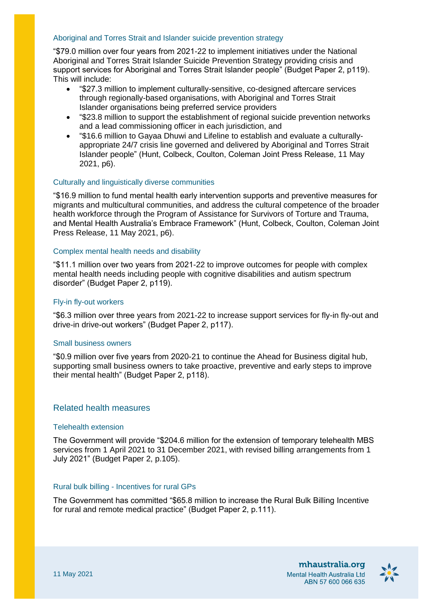# Aboriginal and Torres Strait and Islander suicide prevention strategy

"\$79.0 million over four years from 2021-22 to implement initiatives under the National Aboriginal and Torres Strait Islander Suicide Prevention Strategy providing crisis and support services for Aboriginal and Torres Strait Islander people" (Budget Paper 2, p119). This will include:

- "\$27.3 million to implement culturally-sensitive, co-designed aftercare services through regionally-based organisations, with Aboriginal and Torres Strait Islander organisations being preferred service providers
- "\$23.8 million to support the establishment of regional suicide prevention networks and a lead commissioning officer in each jurisdiction, and
- "\$16.6 million to Gayaa Dhuwi and Lifeline to establish and evaluate a culturallyappropriate 24/7 crisis line governed and delivered by Aboriginal and Torres Strait Islander people" (Hunt, Colbeck, Coulton, Coleman Joint Press Release, 11 May 2021, p6).

#### Culturally and linguistically diverse communities

"\$16.9 million to fund mental health early intervention supports and preventive measures for migrants and multicultural communities, and address the cultural competence of the broader health workforce through the Program of Assistance for Survivors of Torture and Trauma, and Mental Health Australia's Embrace Framework" (Hunt, Colbeck, Coulton, Coleman Joint Press Release, 11 May 2021, p6).

#### Complex mental health needs and disability

"\$11.1 million over two years from 2021-22 to improve outcomes for people with complex mental health needs including people with cognitive disabilities and autism spectrum disorder" (Budget Paper 2, p119).

# Fly-in fly-out workers

"\$6.3 million over three years from 2021-22 to increase support services for fly-in fly-out and drive-in drive-out workers" (Budget Paper 2, p117).

#### Small business owners

"\$0.9 million over five years from 2020-21 to continue the Ahead for Business digital hub, supporting small business owners to take proactive, preventive and early steps to improve their mental health" (Budget Paper 2, p118).

# Related health measures

#### Telehealth extension

The Government will provide "\$204.6 million for the extension of temporary telehealth MBS services from 1 April 2021 to 31 December 2021, with revised billing arrangements from 1 July 2021" (Budget Paper 2, p.105).

#### Rural bulk billing - Incentives for rural GPs

The Government has committed "\$65.8 million to increase the Rural Bulk Billing Incentive for rural and remote medical practice" (Budget Paper 2, p.111).

> mhaustralia.org Mental Health Australia Ltd ABN 57 600 066 635

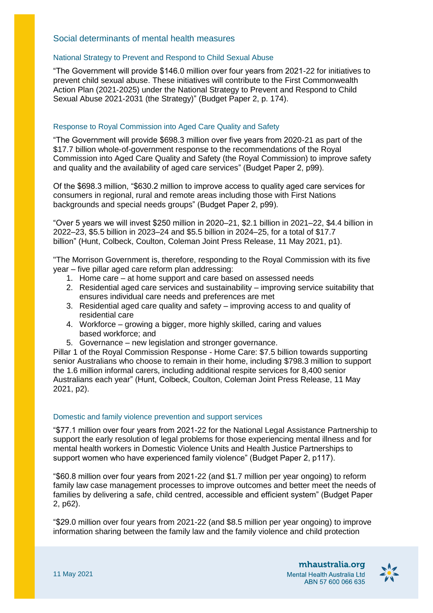# Social determinants of mental health measures

#### National Strategy to Prevent and Respond to Child Sexual Abuse

"The Government will provide \$146.0 million over four years from 2021-22 for initiatives to prevent child sexual abuse. These initiatives will contribute to the First Commonwealth Action Plan (2021-2025) under the National Strategy to Prevent and Respond to Child Sexual Abuse 2021-2031 (the Strategy)" (Budget Paper 2, p. 174).

# Response to Royal Commission into Aged Care Quality and Safety

"The Government will provide \$698.3 million over five years from 2020-21 as part of the \$17.7 billion whole-of-government response to the recommendations of the Royal Commission into Aged Care Quality and Safety (the Royal Commission) to improve safety and quality and the availability of aged care services" (Budget Paper 2, p99).

Of the \$698.3 million, "\$630.2 million to improve access to quality aged care services for consumers in regional, rural and remote areas including those with First Nations backgrounds and special needs groups" (Budget Paper 2, p99).

"Over 5 years we will invest \$250 million in 2020–21, \$2.1 billion in 2021–22, \$4.4 billion in 2022–23, \$5.5 billion in 2023–24 and \$5.5 billion in 2024–25, for a total of \$17.7 billion" (Hunt, Colbeck, Coulton, Coleman Joint Press Release, 11 May 2021, p1).

"The Morrison Government is, therefore, responding to the Royal Commission with its five year – five pillar aged care reform plan addressing:

- 1. Home care at home support and care based on assessed needs
- 2. Residential aged care services and sustainability improving service suitability that ensures individual care needs and preferences are met
- 3. Residential aged care quality and safety improving access to and quality of residential care
- 4. Workforce growing a bigger, more highly skilled, caring and values based workforce; and
- 5. Governance new legislation and stronger governance.

Pillar 1 of the Royal Commission Response - Home Care: \$7.5 billion towards supporting senior Australians who choose to remain in their home, including \$798.3 million to support the 1.6 million informal carers, including additional respite services for 8,400 senior Australians each year" (Hunt, Colbeck, Coulton, Coleman Joint Press Release, 11 May 2021, p2).

#### Domestic and family violence prevention and support services

"\$77.1 million over four years from 2021-22 for the National Legal Assistance Partnership to support the early resolution of legal problems for those experiencing mental illness and for mental health workers in Domestic Violence Units and Health Justice Partnerships to support women who have experienced family violence" (Budget Paper 2, p117).

"\$60.8 million over four years from 2021-22 (and \$1.7 million per year ongoing) to reform family law case management processes to improve outcomes and better meet the needs of families by delivering a safe, child centred, accessible and efficient system" (Budget Paper 2, p62).

"\$29.0 million over four years from 2021-22 (and \$8.5 million per year ongoing) to improve information sharing between the family law and the family violence and child protection